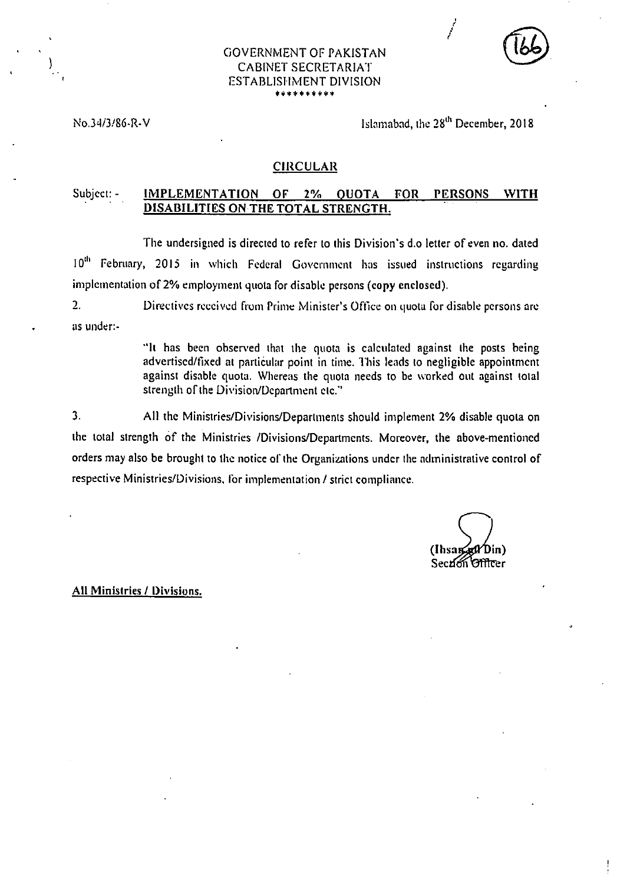| lЬ | ٧<br>v. |  |
|----|---------|--|
|    |         |  |

## GOVERNMENT OF PAKISTAN CABINET SECRETARIAT ESTABLISHMENT DIVISION **\*\*\*\*\*\*\*\*\*\***

# No.34/3/86-R-V Islamabad, the 28<sup>th</sup> December, 2018

## **CIRCULAR**

## Subject: **- IMPLEMENTATION OF 2% QUOTA FOR PERSONS WITH DISABILITIES ON THE TOTAL STRENGTH.**

The undersigned is directed to refer to this Division's d.o letter of even no. dated 10<sup>th</sup> February, 2015 in which Federal Government has issued instructions regarding implementation of 2% employment quota for disable persons (copy enclosed).

). Directives received from Prime Minister's Office on quota for disable persons are as under:.

> **"It** has been observed that the quota is calculated against the posts being advertised/fixed at particular point in time. This leads to negligible appointment against disable quota. Whereas the quota needs to be worked out against total strength of the Division/Department etc."

3. All the Ministries/Divisions/Departments should implement 2% disable quota on the total strength of the Ministries /Divisions/Departments. Moreover, the above-mentioned orders may also be brought to the notice of the Organizations under the administrative control of respective Ministries/Divisions, for implementation / strict compliance.

Din) (Ihsai Secrion Officer

**All** Ministries / Divisions.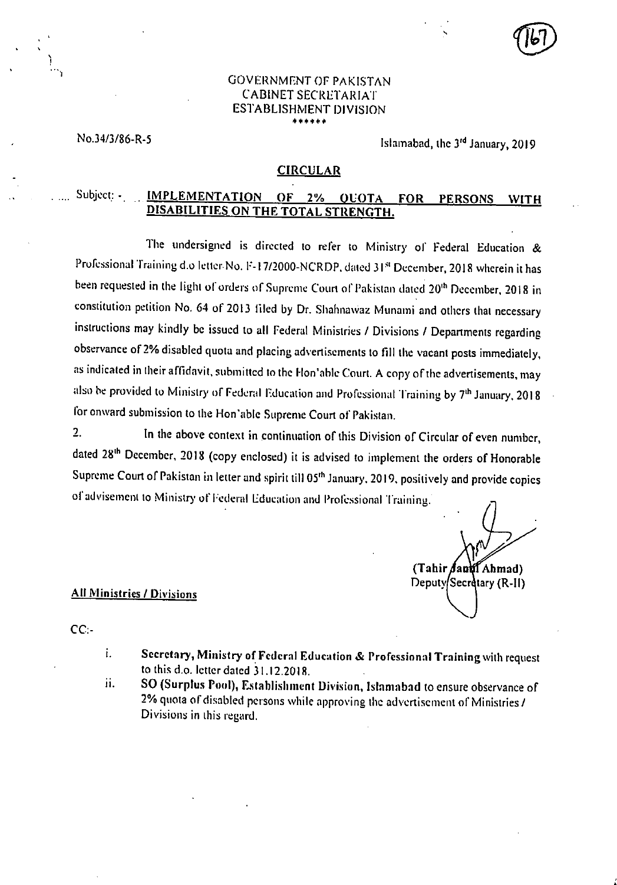## GOVERNMENT OF PAKISTAN CABINET SECRETARIAT ESTABLISHMENT DIVISION \* \* \* \* \* \* \* \*

No.34/3/86-R-5 Islamabad, the 3<sup>rd</sup> January, 2019

#### **CIRCULAR**

# Subject: - **IMPLEMENTATION OF 2% QUOTA FOR PERSONS WITH DISABILITIES ON THE TOTAL STRENGTH.**

The undersigned is directed to refer to Ministry of Federal Education *8c*  Professional Training d.o letter No. F-17/2000-NCRDP, dated 31<sup>st</sup> December, 2018 wherein it has been requested in the light of orders of Supreme Court of Pakistan dated 20<sup>th</sup> December, 2018 in constitution petition No. 64 of 2013 filed by Dr. Shahnawaz Munami and others that necessary instructions may kindly be issued to all Federal Ministries / Divisions / Departments regarding observance of 2% disabled quota and placing advertisements to fill the vacant posts immediately, as indicated in their affidavit, submitted to the Hon'able Court. A copy of the advertisements, may also be provided to Ministry of Federal Education and Professional Training by 7<sup>th</sup> January, 2018 for onward submission to the Hon'able Supreme Court of Pakistan.

2. **In** the above context in continuation of this Division of Circular of even number, dated 28<sup>th</sup> December, 2018 (copy enclosed) it is advised to implement the orders of Honorable Supreme Court of Pakistan in letter and spirit till 05<sup>th</sup> January, 2019, positively and provide copies of advisement to Ministry of Federal Education and Professional Training.

**(Tahir Ahmad)**  Deputy Secretary **(R-II)** 

## **All Ministries / Divisions**

CC:-

- I. **Secretary, Ministry of Federal Education & Professional Training** with request to this do. letter dated 31.12.2018.
- ii. **SO (Surplus Pool), Establishment Division,** Islamabad to ensure observance of 2% quota of disabled persons while approving the advertisement of Ministries / Divisions in this regard.